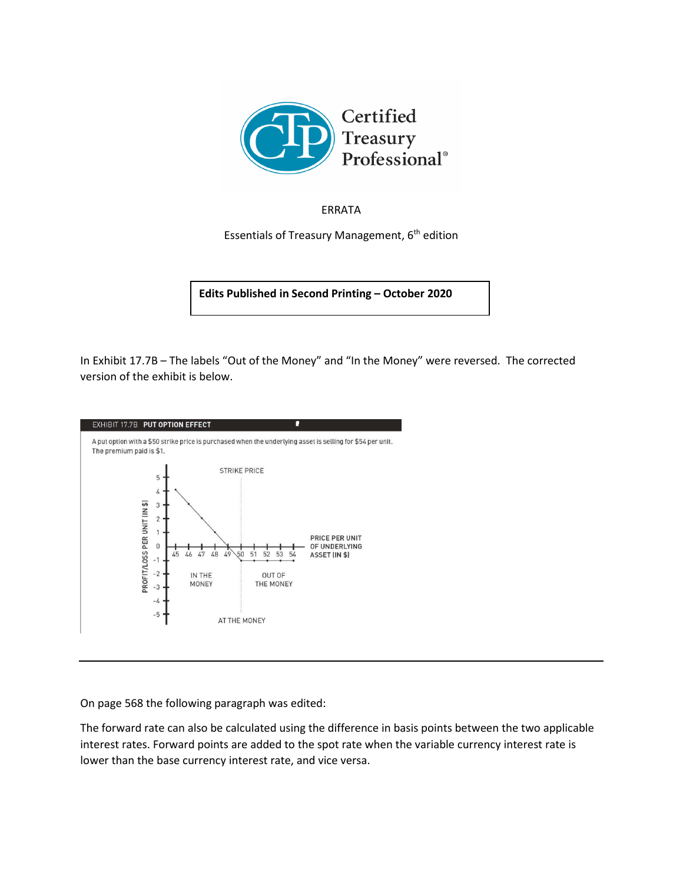

## ERRATA

Essentials of Treasury Management,  $6<sup>th</sup>$  edition

**Edits Published in Second Printing – October 2020**

In Exhibit 17.7B – The labels "Out of the Money" and "In the Money" were reversed. The corrected version of the exhibit is below.



On page 568 the following paragraph was edited:

The forward rate can also be calculated using the difference in basis points between the two applicable interest rates. Forward points are added to the spot rate when the variable currency interest rate is lower than the base currency interest rate, and vice versa.